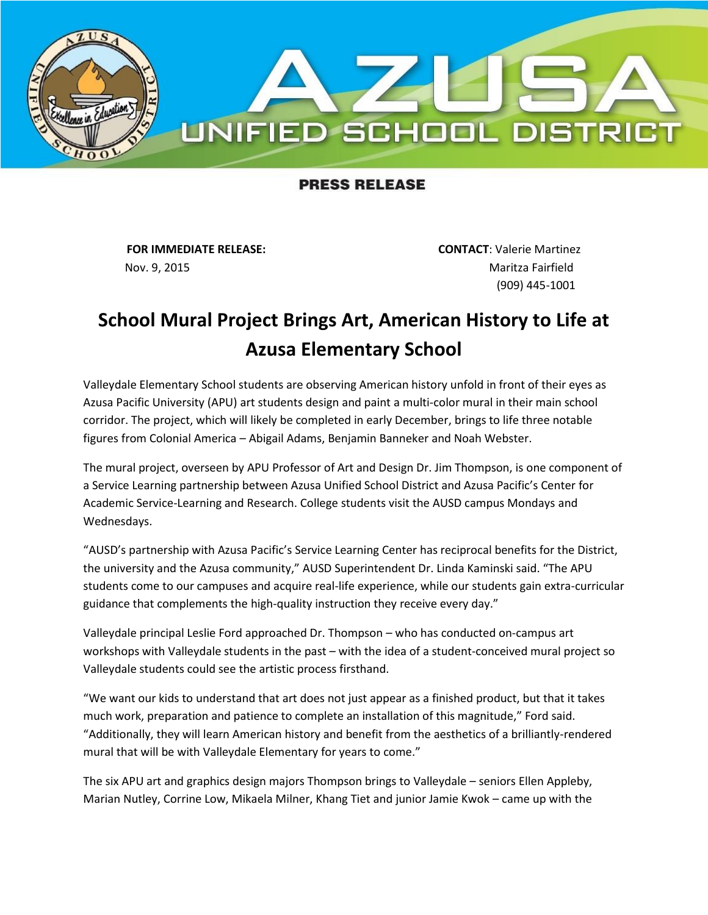

## **PRESS RELEASE**

Nov. 9, 2015 **Maritza Fairfield** 

**FOR IMMEDIATE RELEASE: CONTACT**: Valerie Martinez (909) 445-1001

## **School Mural Project Brings Art, American History to Life at Azusa Elementary School**

Valleydale Elementary School students are observing American history unfold in front of their eyes as Azusa Pacific University (APU) art students design and paint a multi-color mural in their main school corridor. The project, which will likely be completed in early December, brings to life three notable figures from Colonial America – Abigail Adams, Benjamin Banneker and Noah Webster.

The mural project, overseen by APU Professor of Art and Design Dr. Jim Thompson, is one component of a Service Learning partnership between Azusa Unified School District and Azusa Pacific's Center for Academic Service-Learning and Research. College students visit the AUSD campus Mondays and Wednesdays.

"AUSD's partnership with Azusa Pacific's Service Learning Center has reciprocal benefits for the District, the university and the Azusa community," AUSD Superintendent Dr. Linda Kaminski said. "The APU students come to our campuses and acquire real-life experience, while our students gain extra-curricular guidance that complements the high-quality instruction they receive every day."

Valleydale principal Leslie Ford approached Dr. Thompson – who has conducted on-campus art workshops with Valleydale students in the past – with the idea of a student-conceived mural project so Valleydale students could see the artistic process firsthand.

"We want our kids to understand that art does not just appear as a finished product, but that it takes much work, preparation and patience to complete an installation of this magnitude," Ford said. "Additionally, they will learn American history and benefit from the aesthetics of a brilliantly-rendered mural that will be with Valleydale Elementary for years to come."

The six APU art and graphics design majors Thompson brings to Valleydale – seniors Ellen Appleby, Marian Nutley, Corrine Low, Mikaela Milner, Khang Tiet and junior Jamie Kwok – came up with the